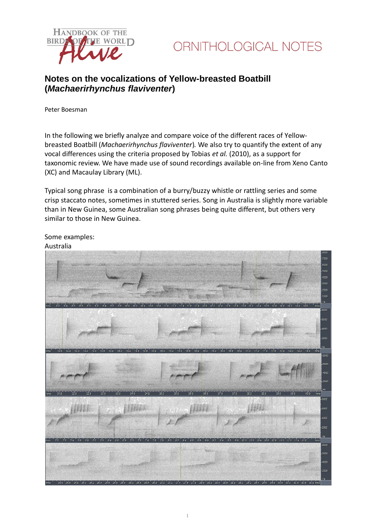



# **Notes on the vocalizations of Yellow-breasted Boatbill (***Machaerirhynchus flaviventer***)**

Peter Boesman

In the following we briefly analyze and compare voice of the different races of Yellowbreasted Boatbill (*Machaerirhynchus flaviventer*)*.* We also try to quantify the extent of any vocal differences using the criteria proposed by Tobias *et al.* (2010), as a support for taxonomic review. We have made use of sound recordings available on-line from Xeno Canto (XC) and Macaulay Library (ML).

Typical song phrase is a combination of a burry/buzzy whistle or rattling series and some crisp staccato notes, sometimes in stuttered series. Song in Australia is slightly more variable than in New Guinea, some Australian song phrases being quite different, but others very similar to those in New Guinea.



Some examples:

#### Australia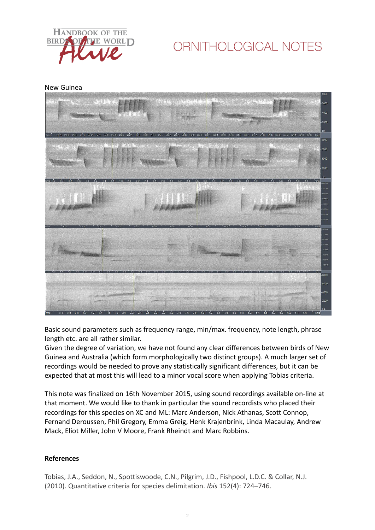

# ORNITHOLOGICAL NOTES

New Guinea



Basic sound parameters such as frequency range, min/max. frequency, note length, phrase length etc. are all rather similar.

Given the degree of variation, we have not found any clear differences between birds of New Guinea and Australia (which form morphologically two distinct groups). A much larger set of recordings would be needed to prove any statistically significant differences, but it can be expected that at most this will lead to a minor vocal score when applying Tobias criteria.

This note was finalized on 16th November 2015, using sound recordings available on-line at that moment. We would like to thank in particular the sound recordists who placed their recordings for this species on XC and ML: Marc Anderson, Nick Athanas, Scott Connop, Fernand Deroussen, Phil Gregory, Emma Greig, Henk Krajenbrink, Linda Macaulay, Andrew Mack, Eliot Miller, John V Moore, Frank Rheindt and Marc Robbins.

## **References**

Tobias, J.A., Seddon, N., Spottiswoode, C.N., Pilgrim, J.D., Fishpool, L.D.C. & Collar, N.J. (2010). Quantitative criteria for species delimitation. *Ibis* 152(4): 724–746.